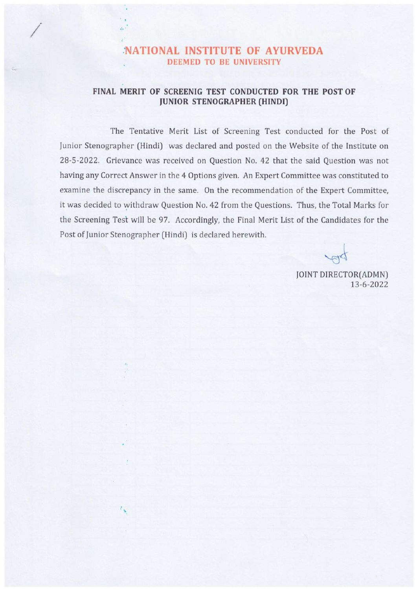## 'NATIONAL INSTITUTE OF AYURVEDA DEEMED TO BE UNIVERSITY

 $\mathcal{E}_{\mathbf{a}}$  :  $\mathcal{E}^{\mathcal{E}}$ 

 $\mathcal{I}_{\infty}$ 

## FINAL MERIT OF SCREENIG TEST CONDUCTED FOR THE POST OF JUNIOR STENOGRAPHER (HINDI)

The Tentative Merit List of Screening Test conducted for the Post of Junior Stenographer (Hindi) was declared and posted on the Website of the Institute on 28-5-2022. Grievance was received on Question No. 42 that the said Question was not having any Correct Answer in the <sup>4</sup> Options given. An Expert Committee was constituted to examine the discrepancy in the same. On the recommendation of the Expert Committee, it was decided to withdraw Question No. 42 from the Questions. Thus, the Total Marks for the Screening Test will be 97. Accordingly, the Final Merit List of the Candidates for the Post of Junior Stenographer (Hindi) is declared herewith.

of

JOINT DIRECTOR(ADMN) 13-6-2022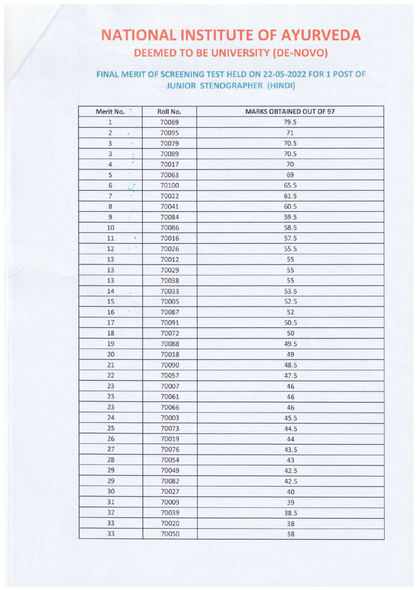## **NATIONAL INSTITUTE OF AYURVEDA DEEMED TO BE UNIVERSITY (DE-NOVO)**

## FINAL MERIT OF SCREENING TEST HELD ON 22-05-2022 FOR 1 POST OF JUNIOR STENOGRAPHER (HINDI)

| Merit No.                   | Roll No. | <b>MARKS OBTAINED OUT OF 97</b> |
|-----------------------------|----------|---------------------------------|
| $\mathbf 1$                 | 70069    | 79.5                            |
| $\overline{2}$<br>×         | 70095    | $71\,$                          |
| $\mathbf{3}$<br>Y.          | 70079    | 70.5                            |
| 3<br>ò.                     | 70089    | 70.5                            |
| $\overline{4}$              | 70017    | 70                              |
| Ÿ.<br>5                     | 70063    | 69                              |
| 6<br>$\mathcal{C}$          | 70100    | 65.5                            |
| $\overline{7}$<br>¥,        | 70022    | 61.5                            |
| $\bf 8$                     | 70041    | 60.5                            |
| $\mathsf g$<br>ŷ.           | 70084    | 59.5                            |
| $10$                        | 70086    | 58.5                            |
| 11<br>¢,                    | 70016    | 57.5                            |
| $\bullet$<br>12<br>$\alpha$ | 70026    | 55.5                            |
| 13                          | 70012    | 55                              |
| 13                          | 70029    | 55                              |
| 13                          | 70038    | 55                              |
| 14<br>$\lambda$             | 70033    | 53.5                            |
| 15                          | 70005    | 52.5                            |
| 16<br>$\Delta$              | 70087    | 52                              |
| 17                          | 70091    | 50.5                            |
| 18                          | 70072    | 50                              |
| 19                          | 70088    | 49.5                            |
| 20                          | 70018    | 49                              |
| 21                          | 70090    | 48.5                            |
| 22                          | 70057    | 47.5                            |
| 23                          | 70007    | 46                              |
| 23                          | 70061    | 46                              |
| 23                          | 70066    | 46                              |
| 24                          | 70003    | 45.5                            |
| 25                          | 70073    | 44.5                            |
| 26                          | 70019    | 44                              |
| 27                          | 70076    | 43.5                            |
| 28                          | 70054    | 43                              |
| 29                          | 70049    | 42.5                            |
| 29                          | 70082    | 42.5                            |
| 30                          | 70027    | 40                              |
| 31                          | 70009    | 39                              |
| 32                          | 70039    | 38.5                            |
| 33                          | 70020    | 38                              |
| 33                          | 70050    | 38                              |